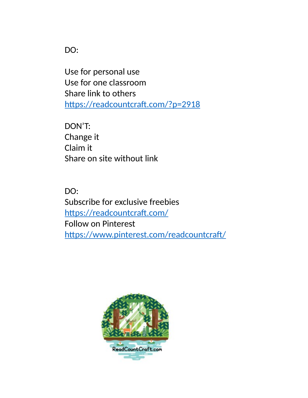DO:

Use for personal use Use for one classroom Share link to others https://readcountcraft.com/?p=2918

DON'T: Change it Claim it Share on site without link

DO: Subscribe for exclusive freebies https://readcountcraft.com/ Follow on Pinterest https://www.pinterest.com/readcountcraft/

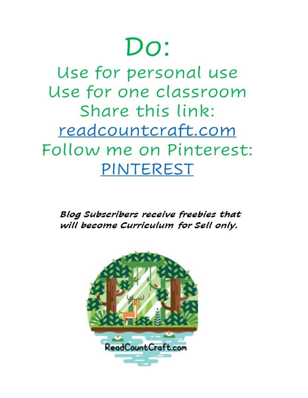# $Do:$

Use for personal use Use for one classroom Share this link: readcountcraft.com Follow me on Pinterest: PINTEREST

Blog Subscribers receive freebies that will become Curriculum for Sell only.

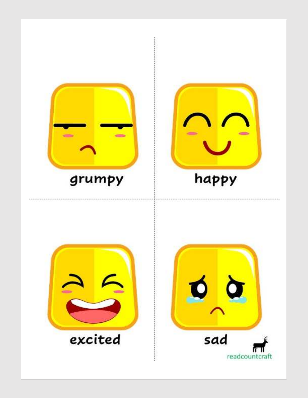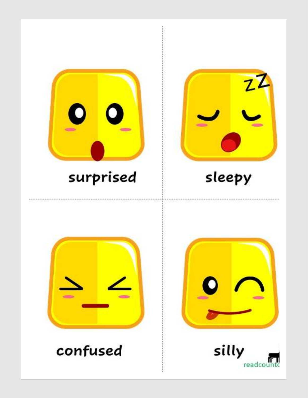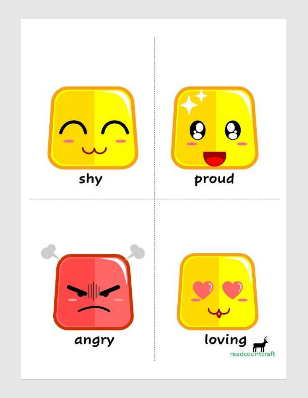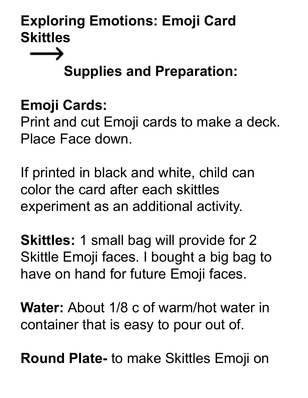# **Supplies and Preparation:**

#### **Emoji Cards:**

 $\longrightarrow$ 

Print and cut Emoji cards to make a deck. Place Face down.

If printed in black and white, child can color the card after each skittles experiment as an additional activity.

**Skittles:** 1 small bag will provide for 2 Skittle Emoji faces. I bought a big bag to have on hand for future Emoji faces.

**Water:** About 1/8 c of warm/hot water in container that is easy to pour out of.

**Round Plate-** to make Skittles Emoji on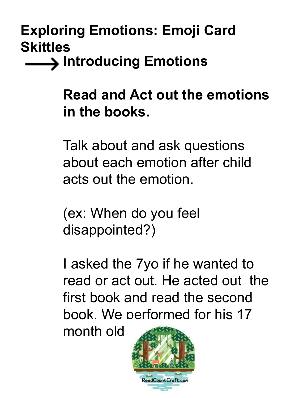**Introducing Emotions**

#### **Read and Act out the emotions in the books.**

Talk about and ask questions about each emotion after child acts out the emotion.

(ex: When do you feel disappointed?)

I asked the 7yo if he wanted to read or act out. He acted out the first book and read the second book. We performed for his 17

month old

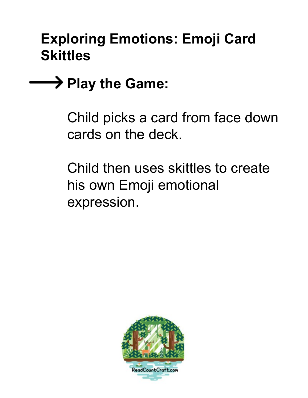## **→→ Play the Game:**

Child picks a card from face down cards on the deck.

Child then uses skittles to create his own Emoji emotional expression.

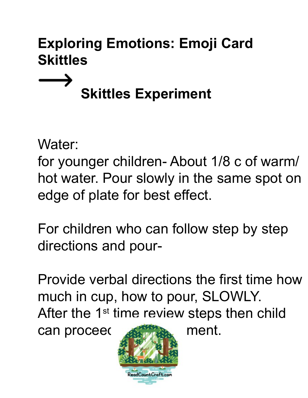# **Skittles Experiment**

Water:

 $\longrightarrow$ 

for younger children- About 1/8 c of warm/ hot water. Pour slowly in the same spot on edge of plate for best effect.

For children who can follow step by step directions and pour-

Provide verbal directions the first time how much in cup, how to pour, SLOWLY. After the 1<sup>st</sup> time review steps then child

can proceed with ment.